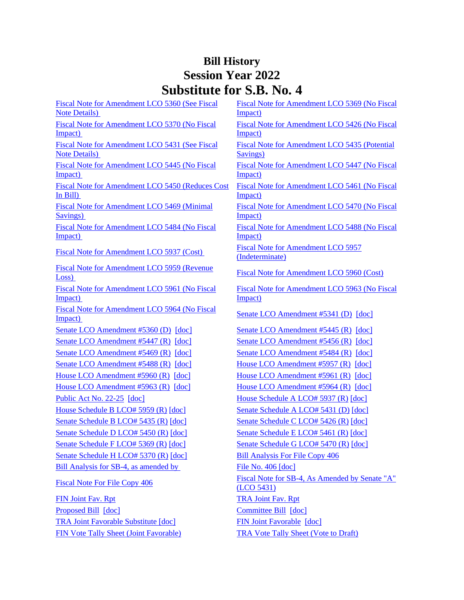## **Bill History Session Year 2022 Substitute for S.B. No. 4**

| Fiscal Note for Amendment LCO 5360 (See Fiscal                          | Fiscal Note for Amendment LCO 5369 (No Fiscal                     |
|-------------------------------------------------------------------------|-------------------------------------------------------------------|
| <b>Note Details</b> )                                                   | Impact)                                                           |
| Fiscal Note for Amendment LCO 5370 (No Fiscal                           | Fiscal Note for Amendment LCO 5426 (No Fiscal                     |
| Impact)                                                                 | Impact)                                                           |
| Fiscal Note for Amendment LCO 5431 (See Fiscal<br><b>Note Details</b> ) | Fiscal Note for Amendment LCO 5435 (Potential<br><b>Savings</b> ) |
| Fiscal Note for Amendment LCO 5445 (No Fiscal<br>Impact)                | Fiscal Note for Amendment LCO 5447 (No Fiscal<br>Impact)          |
| Fiscal Note for Amendment LCO 5450 (Reduces Cost                        | Fiscal Note for Amendment LCO 5461 (No Fiscal                     |
| In Bill)                                                                | Impact)                                                           |
| Fiscal Note for Amendment LCO 5469 (Minimal                             | Fiscal Note for Amendment LCO 5470 (No Fiscal                     |
| Savings)                                                                | Impact)                                                           |
| Fiscal Note for Amendment LCO 5484 (No Fiscal<br>Impact)                | Fiscal Note for Amendment LCO 5488 (No Fiscal<br>Impact)          |
| Fiscal Note for Amendment LCO 5937 (Cost)                               | <b>Fiscal Note for Amendment LCO 5957</b><br>(Indeterminate)      |
| Fiscal Note for Amendment LCO 5959 (Revenue<br>Loss)                    | Fiscal Note for Amendment LCO 5960 (Cost)                         |
| Fiscal Note for Amendment LCO 5961 (No Fiscal<br>Impact)                | Fiscal Note for Amendment LCO 5963 (No Fiscal<br>Impact)          |
| Fiscal Note for Amendment LCO 5964 (No Fiscal<br>Impact)                | Senate LCO Amendment #5341 (D) [doc]                              |
| Senate LCO Amendment #5360 (D) [doc]                                    | Senate LCO Amendment #5445 (R) [doc]                              |
| Senate LCO Amendment #5447 (R) [doc]                                    | Senate LCO Amendment #5456 (R) [doc]                              |
| Senate LCO Amendment #5469 (R) [doc]                                    | Senate LCO Amendment #5484 (R) [doc]                              |
| Senate LCO Amendment #5488 (R) [doc]                                    | House LCO Amendment #5957 (R) [doc]                               |
| House LCO Amendment #5960 (R) [doc]                                     | House LCO Amendment #5961 (R) [doc]                               |
| House LCO Amendment #5963 (R) [doc]                                     | House LCO Amendment #5964 (R) [doc]                               |
| Public Act No. 22-25 [doc]                                              | House Schedule A LCO# 5937 (R) [doc]                              |
| House Schedule B LCO# 5959 (R) [doc]                                    | Senate Schedule A LCO# 5431 (D) [doc]                             |
| Senate Schedule B LCO# 5435 (R) [doc]                                   | Senate Schedule C LCO# 5426 (R) [doc]                             |
| Senate Schedule D LCO# 5450 (R) [doc]                                   | Senate Schedule E LCO# 5461 (R) [doc]                             |
| Senate Schedule FLCO# 5369 (R) [doc]                                    | Senate Schedule G LCO# 5470 (R) [doc]                             |
| Senate Schedule H LCO# 5370 (R) [doc]                                   | <b>Bill Analysis For File Copy 406</b>                            |
| Bill Analysis for SB-4, as amended by                                   | File No. 406 [doc]                                                |
| <b>Fiscal Note For File Copy 406</b>                                    | Fiscal Note for SB-4, As Amended by Senate "A"<br>(LCO 5431)      |
| <b>FIN Joint Fav. Rpt</b>                                               | <b>TRA Joint Fav. Rpt</b>                                         |
| Proposed Bill [doc]                                                     | Committee Bill [doc]                                              |
| TRA Joint Favorable Substitute [doc]                                    | FIN Joint Favorable [doc]                                         |
| FIN Vote Tally Sheet (Joint Favorable)                                  | <b>TRA Vote Tally Sheet (Vote to Draft)</b>                       |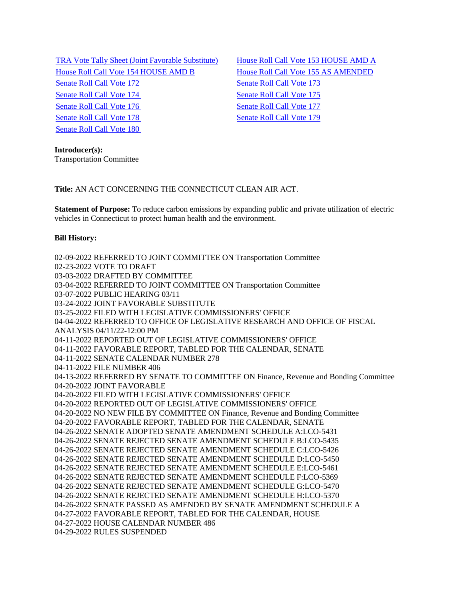[TRA Vote Tally Sheet \(Joint Favorable Substitute\)](/2022/TS/S/PDF/2022SB-00004-R00TRA-CV8-TS.PDF) [House Roll Call Vote 153 HOUSE AMD A](/2022/VOTE/H/PDF/2022HV-00153-R00SB00004-HV.PDF) [House Roll Call Vote](/2022/VOTE/H/PDF/2022HV-00154-R00SB00004-HV.PDF) 154 HOUSE AMD B [House Roll Call Vote 155 AS AMENDED](/2022/VOTE/H/PDF/2022HV-00155-R00SB00004-HV.PDF)  [Senate Roll Call Vote 172](/2022/VOTE/S/PDF/2022SV-00172-R00SB00004-SV.PDF) Senate Roll Call Vote 173 [Senate Roll Call Vote 174](/2022/VOTE/S/PDF/2022SV-00174-R00SB00004-SV.PDF) Senate Roll Call Vote 175 [Senate Roll Call Vote 176](/2022/VOTE/S/PDF/2022SV-00176-R00SB00004-SV.PDF) Senate Roll Call Vote 177 [Senate Roll Call Vote 178](/2022/VOTE/S/PDF/2022SV-00178-R00SB00004-SV.PDF) [Senate Roll Call Vote 179](/2022/VOTE/S/PDF/2022SV-00179-R00SB00004-SV.PDF)  [Senate Roll Call Vote 180](/2022/VOTE/S/PDF/2022SV-00180-R00SB00004-SV.PDF) 

**Introducer(s):** Transportation Committee

**Title:** AN ACT CONCERNING THE CONNECTICUT CLEAN AIR ACT.

**Statement of Purpose:** To reduce carbon emissions by expanding public and private utilization of electric vehicles in Connecticut to protect human health and the environment.

## **Bill History:**

02-09-2022 REFERRED TO JOINT COMMITTEE ON Transportation Committee 02-23-2022 VOTE TO DRAFT 03-03-2022 DRAFTED BY COMMITTEE 03-04-2022 REFERRED TO JOINT COMMITTEE ON Transportation Committee 03-07-2022 PUBLIC HEARING 03/11 03-24-2022 JOINT FAVORABLE SUBSTITUTE 03-25-2022 FILED WITH LEGISLATIVE COMMISSIONERS' OFFICE 04-04-2022 REFERRED TO OFFICE OF LEGISLATIVE RESEARCH AND OFFICE OF FISCAL ANALYSIS 04/11/22-12:00 PM 04-11-2022 REPORTED OUT OF LEGISLATIVE COMMISSIONERS' OFFICE 04-11-2022 FAVORABLE REPORT, TABLED FOR THE CALENDAR, SENATE 04-11-2022 SENATE CALENDAR NUMBER 278 04-11-2022 FILE NUMBER 406 04-13-2022 REFERRED BY SENATE TO COMMITTEE ON Finance, Revenue and Bonding Committee 04-20-2022 JOINT FAVORABLE 04-20-2022 FILED WITH LEGISLATIVE COMMISSIONERS' OFFICE 04-20-2022 REPORTED OUT OF LEGISLATIVE COMMISSIONERS' OFFICE 04-20-2022 NO NEW FILE BY COMMITTEE ON Finance, Revenue and Bonding Committee 04-20-2022 FAVORABLE REPORT, TABLED FOR THE CALENDAR, SENATE 04-26-2022 SENATE ADOPTED SENATE AMENDMENT SCHEDULE A:LCO-5431 04-26-2022 SENATE REJECTED SENATE AMENDMENT SCHEDULE B:LCO-5435 04-26-2022 SENATE REJECTED SENATE AMENDMENT SCHEDULE C:LCO-5426 04-26-2022 SENATE REJECTED SENATE AMENDMENT SCHEDULE D:LCO-5450 04-26-2022 SENATE REJECTED SENATE AMENDMENT SCHEDULE E:LCO-5461 04-26-2022 SENATE REJECTED SENATE AMENDMENT SCHEDULE F:LCO-5369 04-26-2022 SENATE REJECTED SENATE AMENDMENT SCHEDULE G:LCO-5470 04-26-2022 SENATE REJECTED SENATE AMENDMENT SCHEDULE H:LCO-5370 04-26-2022 SENATE PASSED AS AMENDED BY SENATE AMENDMENT SCHEDULE A 04-27-2022 FAVORABLE REPORT, TABLED FOR THE CALENDAR, HOUSE 04-27-2022 HOUSE CALENDAR NUMBER 486 04-29-2022 RULES SUSPENDED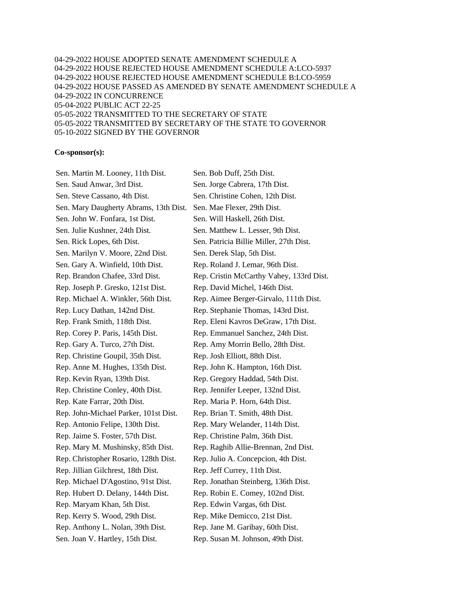04-29-2022 HOUSE ADOPTED SENATE AMENDMENT SCHEDULE A 04-29-2022 HOUSE REJECTED HOUSE AMENDMENT SCHEDULE A:LCO-5937 04-29-2022 HOUSE REJECTED HOUSE AMENDMENT SCHEDULE B:LCO-5959 04-29-2022 HOUSE PASSED AS AMENDED BY SENATE AMENDMENT SCHEDULE A 04-29-2022 IN CONCURRENCE 05-04-2022 PUBLIC ACT 22-25 05-05-2022 TRANSMITTED TO THE SECRETARY OF STATE 05-05-2022 TRANSMITTED BY SECRETARY OF THE STATE TO GOVERNOR 05-10-2022 SIGNED BY THE GOVERNOR

## **Co-sponsor(s):**

Sen. Martin M. Looney, 11th Dist. Sen. Bob Duff, 25th Dist. Sen. Saud Anwar, 3rd Dist. Sen. Jorge Cabrera, 17th Dist. Sen. Steve Cassano, 4th Dist. Sen. Christine Cohen, 12th Dist. Sen. Mary Daugherty Abrams, 13th Dist. Sen. Mae Flexer, 29th Dist. Sen. John W. Fonfara, 1st Dist. Sen. Will Haskell, 26th Dist. Sen. Julie Kushner, 24th Dist. Sen. Matthew L. Lesser, 9th Dist. Sen. Rick Lopes, 6th Dist. Sen. Patricia Billie Miller, 27th Dist. Sen. Marilyn V. Moore, 22nd Dist. Sen. Derek Slap, 5th Dist. Sen. Gary A. Winfield, 10th Dist. Rep. Roland J. Lemar, 96th Dist. Rep. Brandon Chafee, 33rd Dist. Rep. Cristin McCarthy Vahey, 133rd Dist. Rep. Joseph P. Gresko, 121st Dist. Rep. David Michel, 146th Dist. Rep. Michael A. Winkler, 56th Dist. Rep. Aimee Berger-Girvalo, 111th Dist. Rep. Lucy Dathan, 142nd Dist. Rep. Stephanie Thomas, 143rd Dist. Rep. Frank Smith, 118th Dist. Rep. Eleni Kavros DeGraw, 17th Dist. Rep. Corey P. Paris, 145th Dist. Rep. Emmanuel Sanchez, 24th Dist. Rep. Gary A. Turco, 27th Dist. Rep. Amy Morrin Bello, 28th Dist. Rep. Christine Goupil, 35th Dist. Rep. Josh Elliott, 88th Dist. Rep. Anne M. Hughes, 135th Dist. Rep. John K. Hampton, 16th Dist. Rep. Kevin Ryan, 139th Dist. Rep. Gregory Haddad, 54th Dist. Rep. Christine Conley, 40th Dist. Rep. Jennifer Leeper, 132nd Dist. Rep. Kate Farrar, 20th Dist. Rep. Maria P. Horn, 64th Dist. Rep. John-Michael Parker, 101st Dist. Rep. Brian T. Smith, 48th Dist. Rep. Antonio Felipe, 130th Dist. Rep. Mary Welander, 114th Dist. Rep. Jaime S. Foster, 57th Dist. Rep. Christine Palm, 36th Dist. Rep. Mary M. Mushinsky, 85th Dist. Rep. Raghib Allie-Brennan, 2nd Dist. Rep. Christopher Rosario, 128th Dist. Rep. Julio A. Concepcion, 4th Dist. Rep. Jillian Gilchrest, 18th Dist. Rep. Jeff Currey, 11th Dist. Rep. Michael D'Agostino, 91st Dist. Rep. Jonathan Steinberg, 136th Dist. Rep. Hubert D. Delany, 144th Dist. Rep. Robin E. Comey, 102nd Dist. Rep. Maryam Khan, 5th Dist. Rep. Edwin Vargas, 6th Dist. Rep. Kerry S. Wood, 29th Dist. Rep. Mike Demicco, 21st Dist. Rep. Anthony L. Nolan, 39th Dist. Rep. Jane M. Garibay, 60th Dist. Sen. Joan V. Hartley, 15th Dist. Rep. Susan M. Johnson, 49th Dist.